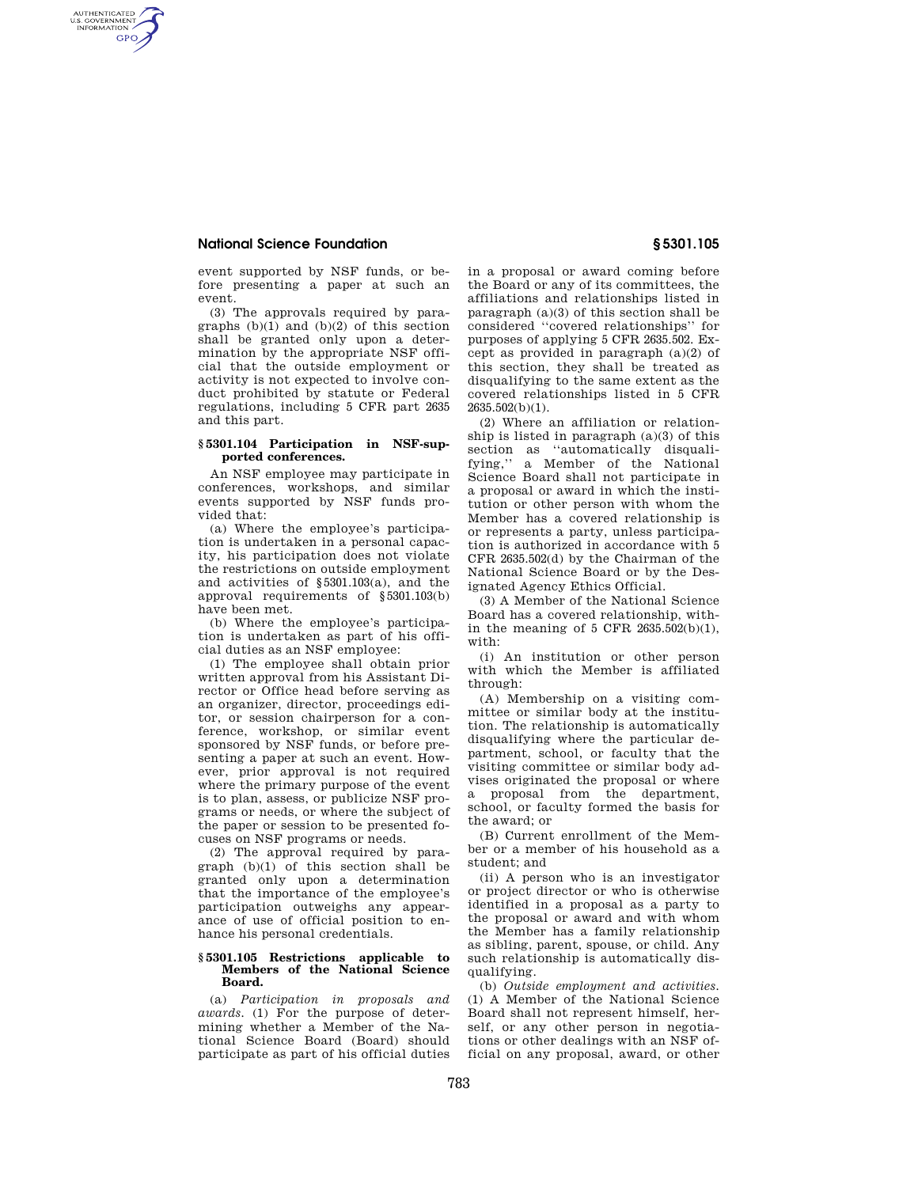# **National Science Foundation § 5301.105**

AUTHENTICATED<br>U.S. GOVERNMENT<br>INFORMATION **GPO** 

> event supported by NSF funds, or before presenting a paper at such an event.

> (3) The approvals required by paragraphs (b)(1) and (b)(2) of this section shall be granted only upon a determination by the appropriate NSF official that the outside employment or activity is not expected to involve conduct prohibited by statute or Federal regulations, including 5 CFR part 2635 and this part.

## **§ 5301.104 Participation in NSF-supported conferences.**

An NSF employee may participate in conferences, workshops, and similar events supported by NSF funds provided that:

(a) Where the employee's participation is undertaken in a personal capacity, his participation does not violate the restrictions on outside employment and activities of §5301.103(a), and the approval requirements of §5301.103(b) have been met.

(b) Where the employee's participation is undertaken as part of his official duties as an NSF employee:

(1) The employee shall obtain prior written approval from his Assistant Director or Office head before serving as an organizer, director, proceedings editor, or session chairperson for a conference, workshop, or similar event sponsored by NSF funds, or before presenting a paper at such an event. However, prior approval is not required where the primary purpose of the event is to plan, assess, or publicize NSF programs or needs, or where the subject of the paper or session to be presented focuses on NSF programs or needs.

(2) The approval required by paragraph (b)(1) of this section shall be granted only upon a determination that the importance of the employee's participation outweighs any appearance of use of official position to enhance his personal credentials.

### **§ 5301.105 Restrictions applicable to Members of the National Science Board.**

(a) *Participation in proposals and awards.* (1) For the purpose of determining whether a Member of the National Science Board (Board) should participate as part of his official duties

in a proposal or award coming before the Board or any of its committees, the affiliations and relationships listed in paragraph (a)(3) of this section shall be considered ''covered relationships'' for purposes of applying 5 CFR 2635.502. Except as provided in paragraph (a)(2) of this section, they shall be treated as disqualifying to the same extent as the covered relationships listed in 5 CFR 2635.502(b)(1).

(2) Where an affiliation or relationship is listed in paragraph (a)(3) of this section as ''automatically disqualifying,'' a Member of the National Science Board shall not participate in a proposal or award in which the institution or other person with whom the Member has a covered relationship is or represents a party, unless participation is authorized in accordance with 5 CFR 2635.502(d) by the Chairman of the National Science Board or by the Designated Agency Ethics Official.

(3) A Member of the National Science Board has a covered relationship, within the meaning of 5 CFR 2635.502(b)(1), with:

(i) An institution or other person with which the Member is affiliated through:

(A) Membership on a visiting committee or similar body at the institution. The relationship is automatically disqualifying where the particular department, school, or faculty that the visiting committee or similar body advises originated the proposal or where a proposal from the department, school, or faculty formed the basis for the award; or

(B) Current enrollment of the Member or a member of his household as a student; and

(ii) A person who is an investigator or project director or who is otherwise identified in a proposal as a party to the proposal or award and with whom the Member has a family relationship as sibling, parent, spouse, or child. Any such relationship is automatically disqualifying.

(b) *Outside employment and activities.*  (1) A Member of the National Science Board shall not represent himself, herself, or any other person in negotiations or other dealings with an NSF official on any proposal, award, or other